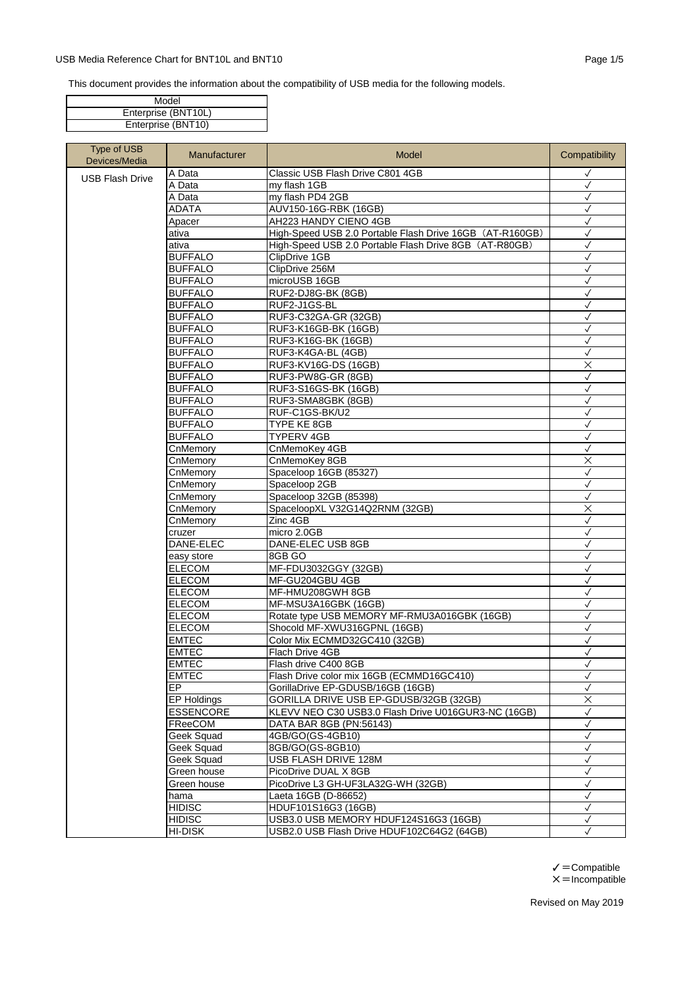## USB Media Reference Chart for BNT10L and BNT10 **Page 1/5** Page 1/5

This document provides the information about the compatibility of USB media for the following models.

| Model               |
|---------------------|
| Enterprise (BNT10L) |
| Enterprise (BNT10)  |

| Type of USB<br>Devices/Media | Manufacturer          | Model                                                    | Compatibility                |
|------------------------------|-----------------------|----------------------------------------------------------|------------------------------|
| <b>USB Flash Drive</b>       | A Data                | Classic USB Flash Drive C801 4GB                         | $\checkmark$                 |
|                              | A Data                | my flash 1GB                                             | $\checkmark$                 |
|                              | A Data                | my flash PD4 2GB                                         | $\checkmark$                 |
|                              | <b>ADATA</b>          | AUV150-16G-RBK (16GB)                                    | $\checkmark$                 |
|                              | Apacer                | AH223 HANDY CIENO 4GB                                    | ✓                            |
|                              | ativa                 | High-Speed USB 2.0 Portable Flash Drive 16GB (AT-R160GB) | $\checkmark$                 |
|                              | ativa                 | High-Speed USB 2.0 Portable Flash Drive 8GB (AT-R80GB)   | $\checkmark$                 |
|                              | <b>BUFFALO</b>        | ClipDrive 1GB                                            | $\checkmark$                 |
|                              | <b>BUFFALO</b>        | ClipDrive 256M                                           | $\checkmark$                 |
|                              | <b>BUFFALO</b>        | microUSB 16GB                                            | $\checkmark$                 |
|                              | <b>BUFFALO</b>        | RUF2-DJ8G-BK (8GB)                                       | $\checkmark$                 |
|                              | <b>BUFFALO</b>        | RUF2-J1GS-BL                                             | $\checkmark$                 |
|                              | <b>BUFFALO</b>        | RUF3-C32GA-GR (32GB)                                     | $\checkmark$                 |
|                              | <b>BUFFALO</b>        | RUF3-K16GB-BK (16GB)                                     | $\checkmark$                 |
|                              | <b>BUFFALO</b>        | RUF3-K16G-BK (16GB)                                      | $\checkmark$                 |
|                              | <b>BUFFALO</b>        | RUF3-K4GA-BL (4GB)                                       | $\checkmark$                 |
|                              | <b>BUFFALO</b>        | RUF3-KV16G-DS (16GB)                                     | $\times$                     |
|                              | <b>BUFFALO</b>        | RUF3-PW8G-GR (8GB)                                       | $\checkmark$                 |
|                              | <b>BUFFALO</b>        | RUF3-S16GS-BK (16GB)                                     | $\checkmark$                 |
|                              | <b>BUFFALO</b>        | RUF3-SMA8GBK (8GB)                                       | $\checkmark$                 |
|                              | <b>BUFFALO</b>        | RUF-C1GS-BK/U2                                           | $\checkmark$                 |
|                              | <b>BUFFALO</b>        | TYPE KE 8GB                                              | $\checkmark$                 |
|                              | <b>BUFFALO</b>        | <b>TYPERV 4GB</b>                                        | $\checkmark$                 |
|                              | CnMemory              | CnMemoKey 4GB                                            | $\checkmark$                 |
|                              | CnMemory              | CnMemoKey 8GB                                            | $\times$                     |
|                              | CnMemory              | Spaceloop 16GB (85327)                                   | $\checkmark$                 |
|                              | CnMemory              | Spaceloop 2GB                                            | $\checkmark$                 |
|                              | CnMemory              | Spaceloop 32GB (85398)                                   | $\checkmark$                 |
|                              | CnMemory              | SpaceloopXL V32G14Q2RNM (32GB)                           | $\times$                     |
|                              | CnMemory              | Zinc 4GB                                                 | $\checkmark$                 |
|                              | cruzer                | micro 2.0GB                                              | $\checkmark$                 |
|                              | DANE-ELEC             | DANE-ELEC USB 8GB                                        | $\checkmark$                 |
|                              | easy store            | 8GB GO                                                   | $\checkmark$                 |
|                              | <b>ELECOM</b>         | MF-FDU3032GGY (32GB)                                     | $\checkmark$                 |
|                              | <b>ELECOM</b>         | MF-GU204GBU 4GB                                          | $\checkmark$                 |
|                              | <b>ELECOM</b>         | MF-HMU208GWH 8GB                                         | $\checkmark$                 |
|                              | <b>ELECOM</b>         | MF-MSU3A16GBK (16GB)                                     | $\checkmark$                 |
|                              | <b>ELECOM</b>         | Rotate type USB MEMORY MF-RMU3A016GBK (16GB)             | $\checkmark$                 |
|                              | <b>ELECOM</b>         | Shocold MF-XWU316GPNL (16GB)                             | $\checkmark$                 |
|                              | <b>EMTEC</b>          | Color Mix ECMMD32GC410 (32GB)                            | $\checkmark$                 |
|                              | <b>EMTEC</b>          | Flach Drive 4GB                                          | $\checkmark$                 |
|                              | <b>EMTEC</b>          | Flash drive C400 8GB                                     | $\checkmark$                 |
|                              | <b>EMTEC</b>          | Flash Drive color mix 16GB (ECMMD16GC410)                | $\checkmark$                 |
|                              | EP                    | GorillaDrive EP-GDUSB/16GB (16GB)                        | $\checkmark$                 |
|                              | EP Holdings           | GORILLA DRIVE USB EP-GDUSB/32GB (32GB)                   | X                            |
|                              | <b>ESSENCORE</b>      | KLEVV NEO C30 USB3.0 Flash Drive U016GUR3-NC (16GB)      | $\checkmark$                 |
|                              | FReeCOM               | DATA BAR 8GB (PN:56143)                                  | $\checkmark$                 |
|                              | Geek Squad            | 4GB/GO(GS-4GB10)                                         | $\checkmark$                 |
|                              | Geek Squad            | 8GB/GO(GS-8GB10)                                         | $\checkmark$                 |
|                              | Geek Squad            | USB FLASH DRIVE 128M                                     | $\checkmark$<br>$\checkmark$ |
|                              | Green house           | PicoDrive DUAL X 8GB                                     |                              |
|                              | Green house           | PicoDrive L3 GH-UF3LA32G-WH (32GB)                       | $\checkmark$                 |
|                              | hama<br><b>HIDISC</b> | Laeta 16GB (D-86652)                                     | $\checkmark$<br>$\checkmark$ |
|                              |                       | HDUF101S16G3 (16GB)                                      |                              |
|                              | <b>HIDISC</b>         | USB3.0 USB MEMORY HDUF124S16G3 (16GB)                    | $\checkmark$                 |
|                              | <b>HI-DISK</b>        | USB2.0 USB Flash Drive HDUF102C64G2 (64GB)               |                              |

 $\checkmark$  = Compatible  $\times$  = Incompatible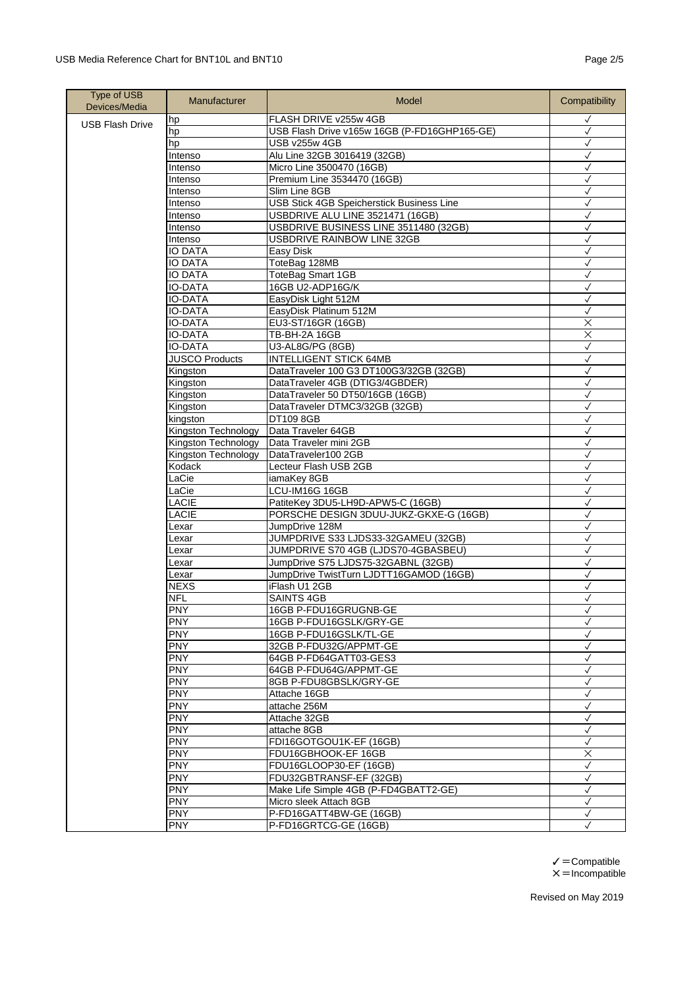| <b>Type of USB</b><br>Devices/Media | Manufacturer          | Model                                                                     | Compatibility                |
|-------------------------------------|-----------------------|---------------------------------------------------------------------------|------------------------------|
| <b>USB Flash Drive</b>              | hp                    | FLASH DRIVE v255w 4GB                                                     | ✓                            |
|                                     | hp                    | USB Flash Drive v165w 16GB (P-FD16GHP165-GE)                              | $\checkmark$                 |
|                                     | hp                    | USB v255w 4GB                                                             | $\checkmark$                 |
|                                     | Intenso               | Alu Line 32GB 3016419 (32GB)                                              | √                            |
|                                     | Intenso               | Micro Line 3500470 (16GB)                                                 | $\checkmark$                 |
|                                     | Intenso               | Premium Line 3534470 (16GB)                                               | $\checkmark$                 |
|                                     | Intenso               | Slim Line 8GB                                                             | $\checkmark$                 |
|                                     | Intenso               | USB Stick 4GB Speicherstick Business Line                                 | $\checkmark$<br>$\checkmark$ |
|                                     | Intenso<br>Intenso    | USBDRIVE ALU LINE 3521471 (16GB)<br>USBDRIVE BUSINESS LINE 3511480 (32GB) | $\checkmark$                 |
|                                     | Intenso               | USBDRIVE RAINBOW LINE 32GB                                                |                              |
|                                     | <b>IO DATA</b>        |                                                                           | $\checkmark$<br>$\checkmark$ |
|                                     | <b>IO DATA</b>        | Easy Disk<br>ToteBag 128MB                                                | $\checkmark$                 |
|                                     | <b>IO DATA</b>        | ToteBag Smart 1GB                                                         | √                            |
|                                     | <b>IO-DATA</b>        | 16GB U2-ADP16G/K                                                          | $\checkmark$                 |
|                                     | <b>IO-DATA</b>        | EasyDisk Light 512M                                                       | $\checkmark$                 |
|                                     | <b>IO-DATA</b>        | EasyDisk Platinum 512M                                                    | $\checkmark$                 |
|                                     | <b>IO-DATA</b>        | EU3-ST/16GR (16GB)                                                        | $\times$                     |
|                                     | <b>IO-DATA</b>        | TB-BH-2A 16GB                                                             | $\overline{\mathsf{x}}$      |
|                                     | <b>IO-DATA</b>        | U3-AL8G/PG (8GB)                                                          | $\checkmark$                 |
|                                     | <b>JUSCO Products</b> | <b>INTELLIGENT STICK 64MB</b>                                             | $\checkmark$                 |
|                                     | Kingston              | DataTraveler 100 G3 DT100G3/32GB (32GB)                                   | $\checkmark$                 |
|                                     | Kingston              | DataTraveler 4GB (DTIG3/4GBDER)                                           | $\checkmark$                 |
|                                     | Kingston              | DataTraveler 50 DT50/16GB (16GB)                                          | √                            |
|                                     | Kingston              | DataTraveler DTMC3/32GB (32GB)                                            | $\checkmark$                 |
|                                     | kingston              | DT109 8GB                                                                 | $\checkmark$                 |
|                                     | Kingston Technology   | Data Traveler 64GB                                                        | $\checkmark$                 |
|                                     | Kingston Technology   | Data Traveler mini 2GB                                                    | $\checkmark$                 |
|                                     | Kingston Technology   | DataTraveler100 2GB                                                       | $\checkmark$                 |
|                                     | Kodack                | Lecteur Flash USB 2GB                                                     | $\checkmark$                 |
|                                     | LaCie                 | iamaKey 8GB                                                               | ✓                            |
|                                     | LaCie                 | LCU-IM16G 16GB                                                            | $\checkmark$                 |
|                                     | LACIE                 | PatiteKey 3DU5-LH9D-APW5-C (16GB)                                         | $\checkmark$                 |
|                                     | LACIE                 | PORSCHE DESIGN 3DUU-JUKZ-GKXE-G (16GB)                                    | ✓                            |
|                                     | Lexar                 | JumpDrive 128M                                                            | $\checkmark$                 |
|                                     | Lexar                 | JUMPDRIVE S33 LJDS33-32GAMEU (32GB)                                       | $\checkmark$                 |
|                                     | Lexar                 | JUMPDRIVE S70 4GB (LJDS70-4GBASBEU)                                       | $\checkmark$                 |
|                                     | Lexar                 | JumpDrive S75 LJDS75-32GABNL (32GB)                                       | $\checkmark$                 |
|                                     | Lexar                 | JumpDrive TwistTurn LJDTT16GAMOD (16GB)                                   | $\checkmark$                 |
|                                     | <b>NEXS</b>           | iFlash U1 2GB                                                             | $\checkmark$                 |
|                                     | <b>NFL</b>            | <b>SAINTS 4GB</b>                                                         | ✓                            |
|                                     | <b>PNY</b>            | 16GB P-FDU16GRUGNB-GE                                                     | ✓                            |
|                                     | <b>PNY</b>            | 16GB P-FDU16GSLK/GRY-GE                                                   | $\checkmark$                 |
|                                     | <b>PNY</b>            | 16GB P-FDU16GSLK/TL-GE                                                    | $\checkmark$                 |
|                                     | <b>PNY</b>            | 32GB P-FDU32G/APPMT-GE                                                    | $\checkmark$                 |
|                                     | <b>PNY</b>            | 64GB P-FD64GATT03-GES3                                                    | $\checkmark$                 |
|                                     | <b>PNY</b>            | 64GB P-FDU64G/APPMT-GE                                                    | $\checkmark$                 |
|                                     | <b>PNY</b>            | 8GB P-FDU8GBSLK/GRY-GE                                                    | $\checkmark$                 |
|                                     | <b>PNY</b>            | Attache 16GB                                                              | $\checkmark$                 |
|                                     | <b>PNY</b>            | attache 256M                                                              | $\checkmark$                 |
|                                     | <b>PNY</b>            | Attache 32GB                                                              | $\checkmark$                 |
|                                     | <b>PNY</b>            | attache 8GB                                                               | $\checkmark$                 |
|                                     | <b>PNY</b>            | FDI16GOTGOU1K-EF (16GB)                                                   | $\checkmark$                 |
|                                     | <b>PNY</b>            | FDU16GBHOOK-EF 16GB                                                       | ×                            |
|                                     | <b>PNY</b>            | FDU16GLOOP30-EF (16GB)                                                    | ✓                            |
|                                     | <b>PNY</b>            | FDU32GBTRANSF-EF (32GB)                                                   | ✓                            |
|                                     | <b>PNY</b>            | Make Life Simple 4GB (P-FD4GBATT2-GE)                                     | $\checkmark$                 |
|                                     | <b>PNY</b>            | Micro sleek Attach 8GB                                                    | $\checkmark$                 |
|                                     | <b>PNY</b>            | P-FD16GATT4BW-GE (16GB)                                                   | √                            |
|                                     | <b>PNY</b>            | P-FD16GRTCG-GE (16GB)                                                     | $\checkmark$                 |

 $\checkmark$  = Compatible  $X = Incomplete$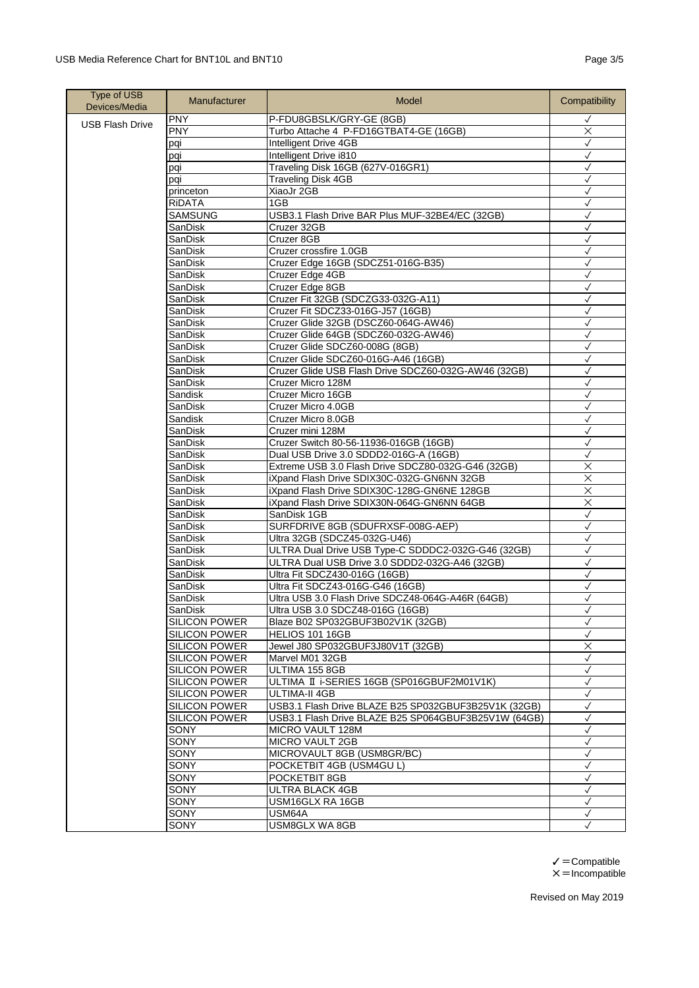| <b>PNY</b><br>P-FDU8GBSLK/GRY-GE (8GB)<br>$\checkmark$<br><b>USB Flash Drive</b><br><b>PNY</b><br>Turbo Attache 4 P-FD16GTBAT4-GE (16GB)<br>$\times$<br>Intelligent Drive 4GB<br>$\checkmark$<br>pqi<br>Intelligent Drive i810<br>$\checkmark$<br>pqi<br>Traveling Disk 16GB (627V-016GR1)<br>✓<br>pqi<br><b>Traveling Disk 4GB</b><br>$\checkmark$<br>pqi<br>XiaoJr 2GB<br>$\checkmark$<br>princeton<br>RIDATA<br>1GB<br>$\checkmark$<br><b>SAMSUNG</b><br>USB3.1 Flash Drive BAR Plus MUF-32BE4/EC (32GB)<br>$\checkmark$<br>$\checkmark$<br>SanDisk<br>Cruzer 32GB<br>Cruzer 8GB<br>SanDisk<br>$\checkmark$<br>SanDisk<br>Cruzer crossfire 1.0GB<br>✓<br>Cruzer Edge 16GB (SDCZ51-016G-B35)<br>$\checkmark$<br>SanDisk<br>SanDisk<br>Cruzer Edge 4GB<br>$\checkmark$<br>Cruzer Edge 8GB<br>SanDisk<br>✓<br>Cruzer Fit 32GB (SDCZG33-032G-A11)<br>SanDisk<br>✓<br>Cruzer Fit SDCZ33-016G-J57 (16GB)<br>$\checkmark$<br>SanDisk<br>Cruzer Glide 32GB (DSCZ60-064G-AW46)<br>SanDisk<br>$\checkmark$<br>Cruzer Glide 64GB (SDCZ60-032G-AW46)<br>$\checkmark$<br>SanDisk<br>Cruzer Glide SDCZ60-008G (8GB)<br>SanDisk<br>$\checkmark$<br>SanDisk<br>Cruzer Glide SDCZ60-016G-A46 (16GB)<br>✓<br>Cruzer Glide USB Flash Drive SDCZ60-032G-AW46 (32GB)<br>SanDisk<br>✓<br>Cruzer Micro 128M<br>$\checkmark$<br>SanDisk<br>Cruzer Micro 16GB<br>Sandisk<br>$\checkmark$<br>Cruzer Micro 4.0GB<br>SanDisk<br>$\checkmark$<br>Sandisk<br>Cruzer Micro 8.0GB<br>$\checkmark$<br>SanDisk<br>Cruzer mini 128M<br>$\checkmark$<br>SanDisk<br>Cruzer Switch 80-56-11936-016GB (16GB)<br>$\checkmark$<br>SanDisk<br>Dual USB Drive 3.0 SDDD2-016G-A (16GB)<br>$\checkmark$<br>Extreme USB 3.0 Flash Drive SDCZ80-032G-G46 (32GB)<br>$\times$<br>SanDisk<br>SanDisk<br>iXpand Flash Drive SDIX30C-032G-GN6NN 32GB<br>$\times$<br>$\overline{\mathsf{x}}$<br>SanDisk<br>iXpand Flash Drive SDIX30C-128G-GN6NE 128GB<br>iXpand Flash Drive SDIX30N-064G-GN6NN 64GB<br>$\times$<br>SanDisk<br>SanDisk<br>SanDisk 1GB<br>$\checkmark$<br>SanDisk<br>SURFDRIVE 8GB (SDUFRXSF-008G-AEP)<br>✓<br>Ultra 32GB (SDCZ45-032G-U46)<br>SanDisk<br>√<br>SanDisk<br>ULTRA Dual Drive USB Type-C SDDDC2-032G-G46 (32GB)<br>$\checkmark$<br>SanDisk<br>ULTRA Dual USB Drive 3.0 SDDD2-032G-A46 (32GB)<br>$\checkmark$<br>Ultra Fit SDCZ430-016G (16GB)<br>SanDisk<br>$\checkmark$<br>$\checkmark$<br>SanDisk<br>Ultra Fit SDCZ43-016G-G46 (16GB)<br>Ultra USB 3.0 Flash Drive SDCZ48-064G-A46R (64GB)<br>SanDisk<br>$\checkmark$<br>$\checkmark$<br>SanDisk<br>Ultra USB 3.0 SDCZ48-016G (16GB)<br><b>SILICON POWER</b><br>Blaze B02 SP032GBUF3B02V1K (32GB)<br>$\checkmark$<br><b>SILICON POWER</b><br>$\checkmark$<br>HELIOS 101 16GB | Type of USB<br>Devices/Media | Manufacturer | Model | Compatibility |
|----------------------------------------------------------------------------------------------------------------------------------------------------------------------------------------------------------------------------------------------------------------------------------------------------------------------------------------------------------------------------------------------------------------------------------------------------------------------------------------------------------------------------------------------------------------------------------------------------------------------------------------------------------------------------------------------------------------------------------------------------------------------------------------------------------------------------------------------------------------------------------------------------------------------------------------------------------------------------------------------------------------------------------------------------------------------------------------------------------------------------------------------------------------------------------------------------------------------------------------------------------------------------------------------------------------------------------------------------------------------------------------------------------------------------------------------------------------------------------------------------------------------------------------------------------------------------------------------------------------------------------------------------------------------------------------------------------------------------------------------------------------------------------------------------------------------------------------------------------------------------------------------------------------------------------------------------------------------------------------------------------------------------------------------------------------------------------------------------------------------------------------------------------------------------------------------------------------------------------------------------------------------------------------------------------------------------------------------------------------------------------------------------------------------------------------------------------------------------------------------------------------------------------------------------------------------------------------------------------------------------------------------------------------------------------------------------------|------------------------------|--------------|-------|---------------|
|                                                                                                                                                                                                                                                                                                                                                                                                                                                                                                                                                                                                                                                                                                                                                                                                                                                                                                                                                                                                                                                                                                                                                                                                                                                                                                                                                                                                                                                                                                                                                                                                                                                                                                                                                                                                                                                                                                                                                                                                                                                                                                                                                                                                                                                                                                                                                                                                                                                                                                                                                                                                                                                                                                          |                              |              |       |               |
|                                                                                                                                                                                                                                                                                                                                                                                                                                                                                                                                                                                                                                                                                                                                                                                                                                                                                                                                                                                                                                                                                                                                                                                                                                                                                                                                                                                                                                                                                                                                                                                                                                                                                                                                                                                                                                                                                                                                                                                                                                                                                                                                                                                                                                                                                                                                                                                                                                                                                                                                                                                                                                                                                                          |                              |              |       |               |
|                                                                                                                                                                                                                                                                                                                                                                                                                                                                                                                                                                                                                                                                                                                                                                                                                                                                                                                                                                                                                                                                                                                                                                                                                                                                                                                                                                                                                                                                                                                                                                                                                                                                                                                                                                                                                                                                                                                                                                                                                                                                                                                                                                                                                                                                                                                                                                                                                                                                                                                                                                                                                                                                                                          |                              |              |       |               |
|                                                                                                                                                                                                                                                                                                                                                                                                                                                                                                                                                                                                                                                                                                                                                                                                                                                                                                                                                                                                                                                                                                                                                                                                                                                                                                                                                                                                                                                                                                                                                                                                                                                                                                                                                                                                                                                                                                                                                                                                                                                                                                                                                                                                                                                                                                                                                                                                                                                                                                                                                                                                                                                                                                          |                              |              |       |               |
|                                                                                                                                                                                                                                                                                                                                                                                                                                                                                                                                                                                                                                                                                                                                                                                                                                                                                                                                                                                                                                                                                                                                                                                                                                                                                                                                                                                                                                                                                                                                                                                                                                                                                                                                                                                                                                                                                                                                                                                                                                                                                                                                                                                                                                                                                                                                                                                                                                                                                                                                                                                                                                                                                                          |                              |              |       |               |
|                                                                                                                                                                                                                                                                                                                                                                                                                                                                                                                                                                                                                                                                                                                                                                                                                                                                                                                                                                                                                                                                                                                                                                                                                                                                                                                                                                                                                                                                                                                                                                                                                                                                                                                                                                                                                                                                                                                                                                                                                                                                                                                                                                                                                                                                                                                                                                                                                                                                                                                                                                                                                                                                                                          |                              |              |       |               |
|                                                                                                                                                                                                                                                                                                                                                                                                                                                                                                                                                                                                                                                                                                                                                                                                                                                                                                                                                                                                                                                                                                                                                                                                                                                                                                                                                                                                                                                                                                                                                                                                                                                                                                                                                                                                                                                                                                                                                                                                                                                                                                                                                                                                                                                                                                                                                                                                                                                                                                                                                                                                                                                                                                          |                              |              |       |               |
|                                                                                                                                                                                                                                                                                                                                                                                                                                                                                                                                                                                                                                                                                                                                                                                                                                                                                                                                                                                                                                                                                                                                                                                                                                                                                                                                                                                                                                                                                                                                                                                                                                                                                                                                                                                                                                                                                                                                                                                                                                                                                                                                                                                                                                                                                                                                                                                                                                                                                                                                                                                                                                                                                                          |                              |              |       |               |
|                                                                                                                                                                                                                                                                                                                                                                                                                                                                                                                                                                                                                                                                                                                                                                                                                                                                                                                                                                                                                                                                                                                                                                                                                                                                                                                                                                                                                                                                                                                                                                                                                                                                                                                                                                                                                                                                                                                                                                                                                                                                                                                                                                                                                                                                                                                                                                                                                                                                                                                                                                                                                                                                                                          |                              |              |       |               |
|                                                                                                                                                                                                                                                                                                                                                                                                                                                                                                                                                                                                                                                                                                                                                                                                                                                                                                                                                                                                                                                                                                                                                                                                                                                                                                                                                                                                                                                                                                                                                                                                                                                                                                                                                                                                                                                                                                                                                                                                                                                                                                                                                                                                                                                                                                                                                                                                                                                                                                                                                                                                                                                                                                          |                              |              |       |               |
|                                                                                                                                                                                                                                                                                                                                                                                                                                                                                                                                                                                                                                                                                                                                                                                                                                                                                                                                                                                                                                                                                                                                                                                                                                                                                                                                                                                                                                                                                                                                                                                                                                                                                                                                                                                                                                                                                                                                                                                                                                                                                                                                                                                                                                                                                                                                                                                                                                                                                                                                                                                                                                                                                                          |                              |              |       |               |
|                                                                                                                                                                                                                                                                                                                                                                                                                                                                                                                                                                                                                                                                                                                                                                                                                                                                                                                                                                                                                                                                                                                                                                                                                                                                                                                                                                                                                                                                                                                                                                                                                                                                                                                                                                                                                                                                                                                                                                                                                                                                                                                                                                                                                                                                                                                                                                                                                                                                                                                                                                                                                                                                                                          |                              |              |       |               |
|                                                                                                                                                                                                                                                                                                                                                                                                                                                                                                                                                                                                                                                                                                                                                                                                                                                                                                                                                                                                                                                                                                                                                                                                                                                                                                                                                                                                                                                                                                                                                                                                                                                                                                                                                                                                                                                                                                                                                                                                                                                                                                                                                                                                                                                                                                                                                                                                                                                                                                                                                                                                                                                                                                          |                              |              |       |               |
|                                                                                                                                                                                                                                                                                                                                                                                                                                                                                                                                                                                                                                                                                                                                                                                                                                                                                                                                                                                                                                                                                                                                                                                                                                                                                                                                                                                                                                                                                                                                                                                                                                                                                                                                                                                                                                                                                                                                                                                                                                                                                                                                                                                                                                                                                                                                                                                                                                                                                                                                                                                                                                                                                                          |                              |              |       |               |
|                                                                                                                                                                                                                                                                                                                                                                                                                                                                                                                                                                                                                                                                                                                                                                                                                                                                                                                                                                                                                                                                                                                                                                                                                                                                                                                                                                                                                                                                                                                                                                                                                                                                                                                                                                                                                                                                                                                                                                                                                                                                                                                                                                                                                                                                                                                                                                                                                                                                                                                                                                                                                                                                                                          |                              |              |       |               |
|                                                                                                                                                                                                                                                                                                                                                                                                                                                                                                                                                                                                                                                                                                                                                                                                                                                                                                                                                                                                                                                                                                                                                                                                                                                                                                                                                                                                                                                                                                                                                                                                                                                                                                                                                                                                                                                                                                                                                                                                                                                                                                                                                                                                                                                                                                                                                                                                                                                                                                                                                                                                                                                                                                          |                              |              |       |               |
|                                                                                                                                                                                                                                                                                                                                                                                                                                                                                                                                                                                                                                                                                                                                                                                                                                                                                                                                                                                                                                                                                                                                                                                                                                                                                                                                                                                                                                                                                                                                                                                                                                                                                                                                                                                                                                                                                                                                                                                                                                                                                                                                                                                                                                                                                                                                                                                                                                                                                                                                                                                                                                                                                                          |                              |              |       |               |
|                                                                                                                                                                                                                                                                                                                                                                                                                                                                                                                                                                                                                                                                                                                                                                                                                                                                                                                                                                                                                                                                                                                                                                                                                                                                                                                                                                                                                                                                                                                                                                                                                                                                                                                                                                                                                                                                                                                                                                                                                                                                                                                                                                                                                                                                                                                                                                                                                                                                                                                                                                                                                                                                                                          |                              |              |       |               |
|                                                                                                                                                                                                                                                                                                                                                                                                                                                                                                                                                                                                                                                                                                                                                                                                                                                                                                                                                                                                                                                                                                                                                                                                                                                                                                                                                                                                                                                                                                                                                                                                                                                                                                                                                                                                                                                                                                                                                                                                                                                                                                                                                                                                                                                                                                                                                                                                                                                                                                                                                                                                                                                                                                          |                              |              |       |               |
|                                                                                                                                                                                                                                                                                                                                                                                                                                                                                                                                                                                                                                                                                                                                                                                                                                                                                                                                                                                                                                                                                                                                                                                                                                                                                                                                                                                                                                                                                                                                                                                                                                                                                                                                                                                                                                                                                                                                                                                                                                                                                                                                                                                                                                                                                                                                                                                                                                                                                                                                                                                                                                                                                                          |                              |              |       |               |
|                                                                                                                                                                                                                                                                                                                                                                                                                                                                                                                                                                                                                                                                                                                                                                                                                                                                                                                                                                                                                                                                                                                                                                                                                                                                                                                                                                                                                                                                                                                                                                                                                                                                                                                                                                                                                                                                                                                                                                                                                                                                                                                                                                                                                                                                                                                                                                                                                                                                                                                                                                                                                                                                                                          |                              |              |       |               |
|                                                                                                                                                                                                                                                                                                                                                                                                                                                                                                                                                                                                                                                                                                                                                                                                                                                                                                                                                                                                                                                                                                                                                                                                                                                                                                                                                                                                                                                                                                                                                                                                                                                                                                                                                                                                                                                                                                                                                                                                                                                                                                                                                                                                                                                                                                                                                                                                                                                                                                                                                                                                                                                                                                          |                              |              |       |               |
|                                                                                                                                                                                                                                                                                                                                                                                                                                                                                                                                                                                                                                                                                                                                                                                                                                                                                                                                                                                                                                                                                                                                                                                                                                                                                                                                                                                                                                                                                                                                                                                                                                                                                                                                                                                                                                                                                                                                                                                                                                                                                                                                                                                                                                                                                                                                                                                                                                                                                                                                                                                                                                                                                                          |                              |              |       |               |
|                                                                                                                                                                                                                                                                                                                                                                                                                                                                                                                                                                                                                                                                                                                                                                                                                                                                                                                                                                                                                                                                                                                                                                                                                                                                                                                                                                                                                                                                                                                                                                                                                                                                                                                                                                                                                                                                                                                                                                                                                                                                                                                                                                                                                                                                                                                                                                                                                                                                                                                                                                                                                                                                                                          |                              |              |       |               |
|                                                                                                                                                                                                                                                                                                                                                                                                                                                                                                                                                                                                                                                                                                                                                                                                                                                                                                                                                                                                                                                                                                                                                                                                                                                                                                                                                                                                                                                                                                                                                                                                                                                                                                                                                                                                                                                                                                                                                                                                                                                                                                                                                                                                                                                                                                                                                                                                                                                                                                                                                                                                                                                                                                          |                              |              |       |               |
|                                                                                                                                                                                                                                                                                                                                                                                                                                                                                                                                                                                                                                                                                                                                                                                                                                                                                                                                                                                                                                                                                                                                                                                                                                                                                                                                                                                                                                                                                                                                                                                                                                                                                                                                                                                                                                                                                                                                                                                                                                                                                                                                                                                                                                                                                                                                                                                                                                                                                                                                                                                                                                                                                                          |                              |              |       |               |
|                                                                                                                                                                                                                                                                                                                                                                                                                                                                                                                                                                                                                                                                                                                                                                                                                                                                                                                                                                                                                                                                                                                                                                                                                                                                                                                                                                                                                                                                                                                                                                                                                                                                                                                                                                                                                                                                                                                                                                                                                                                                                                                                                                                                                                                                                                                                                                                                                                                                                                                                                                                                                                                                                                          |                              |              |       |               |
|                                                                                                                                                                                                                                                                                                                                                                                                                                                                                                                                                                                                                                                                                                                                                                                                                                                                                                                                                                                                                                                                                                                                                                                                                                                                                                                                                                                                                                                                                                                                                                                                                                                                                                                                                                                                                                                                                                                                                                                                                                                                                                                                                                                                                                                                                                                                                                                                                                                                                                                                                                                                                                                                                                          |                              |              |       |               |
|                                                                                                                                                                                                                                                                                                                                                                                                                                                                                                                                                                                                                                                                                                                                                                                                                                                                                                                                                                                                                                                                                                                                                                                                                                                                                                                                                                                                                                                                                                                                                                                                                                                                                                                                                                                                                                                                                                                                                                                                                                                                                                                                                                                                                                                                                                                                                                                                                                                                                                                                                                                                                                                                                                          |                              |              |       |               |
|                                                                                                                                                                                                                                                                                                                                                                                                                                                                                                                                                                                                                                                                                                                                                                                                                                                                                                                                                                                                                                                                                                                                                                                                                                                                                                                                                                                                                                                                                                                                                                                                                                                                                                                                                                                                                                                                                                                                                                                                                                                                                                                                                                                                                                                                                                                                                                                                                                                                                                                                                                                                                                                                                                          |                              |              |       |               |
|                                                                                                                                                                                                                                                                                                                                                                                                                                                                                                                                                                                                                                                                                                                                                                                                                                                                                                                                                                                                                                                                                                                                                                                                                                                                                                                                                                                                                                                                                                                                                                                                                                                                                                                                                                                                                                                                                                                                                                                                                                                                                                                                                                                                                                                                                                                                                                                                                                                                                                                                                                                                                                                                                                          |                              |              |       |               |
|                                                                                                                                                                                                                                                                                                                                                                                                                                                                                                                                                                                                                                                                                                                                                                                                                                                                                                                                                                                                                                                                                                                                                                                                                                                                                                                                                                                                                                                                                                                                                                                                                                                                                                                                                                                                                                                                                                                                                                                                                                                                                                                                                                                                                                                                                                                                                                                                                                                                                                                                                                                                                                                                                                          |                              |              |       |               |
|                                                                                                                                                                                                                                                                                                                                                                                                                                                                                                                                                                                                                                                                                                                                                                                                                                                                                                                                                                                                                                                                                                                                                                                                                                                                                                                                                                                                                                                                                                                                                                                                                                                                                                                                                                                                                                                                                                                                                                                                                                                                                                                                                                                                                                                                                                                                                                                                                                                                                                                                                                                                                                                                                                          |                              |              |       |               |
|                                                                                                                                                                                                                                                                                                                                                                                                                                                                                                                                                                                                                                                                                                                                                                                                                                                                                                                                                                                                                                                                                                                                                                                                                                                                                                                                                                                                                                                                                                                                                                                                                                                                                                                                                                                                                                                                                                                                                                                                                                                                                                                                                                                                                                                                                                                                                                                                                                                                                                                                                                                                                                                                                                          |                              |              |       |               |
|                                                                                                                                                                                                                                                                                                                                                                                                                                                                                                                                                                                                                                                                                                                                                                                                                                                                                                                                                                                                                                                                                                                                                                                                                                                                                                                                                                                                                                                                                                                                                                                                                                                                                                                                                                                                                                                                                                                                                                                                                                                                                                                                                                                                                                                                                                                                                                                                                                                                                                                                                                                                                                                                                                          |                              |              |       |               |
|                                                                                                                                                                                                                                                                                                                                                                                                                                                                                                                                                                                                                                                                                                                                                                                                                                                                                                                                                                                                                                                                                                                                                                                                                                                                                                                                                                                                                                                                                                                                                                                                                                                                                                                                                                                                                                                                                                                                                                                                                                                                                                                                                                                                                                                                                                                                                                                                                                                                                                                                                                                                                                                                                                          |                              |              |       |               |
|                                                                                                                                                                                                                                                                                                                                                                                                                                                                                                                                                                                                                                                                                                                                                                                                                                                                                                                                                                                                                                                                                                                                                                                                                                                                                                                                                                                                                                                                                                                                                                                                                                                                                                                                                                                                                                                                                                                                                                                                                                                                                                                                                                                                                                                                                                                                                                                                                                                                                                                                                                                                                                                                                                          |                              |              |       |               |
|                                                                                                                                                                                                                                                                                                                                                                                                                                                                                                                                                                                                                                                                                                                                                                                                                                                                                                                                                                                                                                                                                                                                                                                                                                                                                                                                                                                                                                                                                                                                                                                                                                                                                                                                                                                                                                                                                                                                                                                                                                                                                                                                                                                                                                                                                                                                                                                                                                                                                                                                                                                                                                                                                                          |                              |              |       |               |
|                                                                                                                                                                                                                                                                                                                                                                                                                                                                                                                                                                                                                                                                                                                                                                                                                                                                                                                                                                                                                                                                                                                                                                                                                                                                                                                                                                                                                                                                                                                                                                                                                                                                                                                                                                                                                                                                                                                                                                                                                                                                                                                                                                                                                                                                                                                                                                                                                                                                                                                                                                                                                                                                                                          |                              |              |       |               |
|                                                                                                                                                                                                                                                                                                                                                                                                                                                                                                                                                                                                                                                                                                                                                                                                                                                                                                                                                                                                                                                                                                                                                                                                                                                                                                                                                                                                                                                                                                                                                                                                                                                                                                                                                                                                                                                                                                                                                                                                                                                                                                                                                                                                                                                                                                                                                                                                                                                                                                                                                                                                                                                                                                          |                              |              |       |               |
|                                                                                                                                                                                                                                                                                                                                                                                                                                                                                                                                                                                                                                                                                                                                                                                                                                                                                                                                                                                                                                                                                                                                                                                                                                                                                                                                                                                                                                                                                                                                                                                                                                                                                                                                                                                                                                                                                                                                                                                                                                                                                                                                                                                                                                                                                                                                                                                                                                                                                                                                                                                                                                                                                                          |                              |              |       |               |
|                                                                                                                                                                                                                                                                                                                                                                                                                                                                                                                                                                                                                                                                                                                                                                                                                                                                                                                                                                                                                                                                                                                                                                                                                                                                                                                                                                                                                                                                                                                                                                                                                                                                                                                                                                                                                                                                                                                                                                                                                                                                                                                                                                                                                                                                                                                                                                                                                                                                                                                                                                                                                                                                                                          |                              |              |       |               |
| <b>SILICON POWER</b><br>Jewel J80 SP032GBUF3J80V1T (32GB)<br>$\times$                                                                                                                                                                                                                                                                                                                                                                                                                                                                                                                                                                                                                                                                                                                                                                                                                                                                                                                                                                                                                                                                                                                                                                                                                                                                                                                                                                                                                                                                                                                                                                                                                                                                                                                                                                                                                                                                                                                                                                                                                                                                                                                                                                                                                                                                                                                                                                                                                                                                                                                                                                                                                                    |                              |              |       |               |
| <b>SILICON POWER</b><br>Marvel M01 32GB<br>$\checkmark$                                                                                                                                                                                                                                                                                                                                                                                                                                                                                                                                                                                                                                                                                                                                                                                                                                                                                                                                                                                                                                                                                                                                                                                                                                                                                                                                                                                                                                                                                                                                                                                                                                                                                                                                                                                                                                                                                                                                                                                                                                                                                                                                                                                                                                                                                                                                                                                                                                                                                                                                                                                                                                                  |                              |              |       |               |
| <b>SILICON POWER</b><br>ULTIMA 155 8GB<br>$\checkmark$                                                                                                                                                                                                                                                                                                                                                                                                                                                                                                                                                                                                                                                                                                                                                                                                                                                                                                                                                                                                                                                                                                                                                                                                                                                                                                                                                                                                                                                                                                                                                                                                                                                                                                                                                                                                                                                                                                                                                                                                                                                                                                                                                                                                                                                                                                                                                                                                                                                                                                                                                                                                                                                   |                              |              |       |               |
| <b>SILICON POWER</b><br>ULTIMA II i-SERIES 16GB (SP016GBUF2M01V1K)<br>$\checkmark$                                                                                                                                                                                                                                                                                                                                                                                                                                                                                                                                                                                                                                                                                                                                                                                                                                                                                                                                                                                                                                                                                                                                                                                                                                                                                                                                                                                                                                                                                                                                                                                                                                                                                                                                                                                                                                                                                                                                                                                                                                                                                                                                                                                                                                                                                                                                                                                                                                                                                                                                                                                                                       |                              |              |       |               |
| ULTIMA-II 4GB<br><b>SILICON POWER</b><br>$\checkmark$                                                                                                                                                                                                                                                                                                                                                                                                                                                                                                                                                                                                                                                                                                                                                                                                                                                                                                                                                                                                                                                                                                                                                                                                                                                                                                                                                                                                                                                                                                                                                                                                                                                                                                                                                                                                                                                                                                                                                                                                                                                                                                                                                                                                                                                                                                                                                                                                                                                                                                                                                                                                                                                    |                              |              |       |               |
| <b>SILICON POWER</b><br>USB3.1 Flash Drive BLAZE B25 SP032GBUF3B25V1K (32GB)<br>$\checkmark$                                                                                                                                                                                                                                                                                                                                                                                                                                                                                                                                                                                                                                                                                                                                                                                                                                                                                                                                                                                                                                                                                                                                                                                                                                                                                                                                                                                                                                                                                                                                                                                                                                                                                                                                                                                                                                                                                                                                                                                                                                                                                                                                                                                                                                                                                                                                                                                                                                                                                                                                                                                                             |                              |              |       |               |
| <b>SILICON POWER</b><br>USB3.1 Flash Drive BLAZE B25 SP064GBUF3B25V1W (64GB)<br>$\checkmark$                                                                                                                                                                                                                                                                                                                                                                                                                                                                                                                                                                                                                                                                                                                                                                                                                                                                                                                                                                                                                                                                                                                                                                                                                                                                                                                                                                                                                                                                                                                                                                                                                                                                                                                                                                                                                                                                                                                                                                                                                                                                                                                                                                                                                                                                                                                                                                                                                                                                                                                                                                                                             |                              |              |       |               |
| SONY<br>$\checkmark$<br>MICRO VAULT 128M                                                                                                                                                                                                                                                                                                                                                                                                                                                                                                                                                                                                                                                                                                                                                                                                                                                                                                                                                                                                                                                                                                                                                                                                                                                                                                                                                                                                                                                                                                                                                                                                                                                                                                                                                                                                                                                                                                                                                                                                                                                                                                                                                                                                                                                                                                                                                                                                                                                                                                                                                                                                                                                                 |                              |              |       |               |
| SONY<br>MICRO VAULT 2GB<br>$\checkmark$                                                                                                                                                                                                                                                                                                                                                                                                                                                                                                                                                                                                                                                                                                                                                                                                                                                                                                                                                                                                                                                                                                                                                                                                                                                                                                                                                                                                                                                                                                                                                                                                                                                                                                                                                                                                                                                                                                                                                                                                                                                                                                                                                                                                                                                                                                                                                                                                                                                                                                                                                                                                                                                                  |                              |              |       |               |
| SONY<br>MICROVAULT 8GB (USM8GR/BC)<br>$\checkmark$                                                                                                                                                                                                                                                                                                                                                                                                                                                                                                                                                                                                                                                                                                                                                                                                                                                                                                                                                                                                                                                                                                                                                                                                                                                                                                                                                                                                                                                                                                                                                                                                                                                                                                                                                                                                                                                                                                                                                                                                                                                                                                                                                                                                                                                                                                                                                                                                                                                                                                                                                                                                                                                       |                              |              |       |               |
| SONY<br>POCKETBIT 4GB (USM4GU L)<br>✓                                                                                                                                                                                                                                                                                                                                                                                                                                                                                                                                                                                                                                                                                                                                                                                                                                                                                                                                                                                                                                                                                                                                                                                                                                                                                                                                                                                                                                                                                                                                                                                                                                                                                                                                                                                                                                                                                                                                                                                                                                                                                                                                                                                                                                                                                                                                                                                                                                                                                                                                                                                                                                                                    |                              |              |       |               |
| SONY<br>POCKETBIT 8GB<br>$\checkmark$                                                                                                                                                                                                                                                                                                                                                                                                                                                                                                                                                                                                                                                                                                                                                                                                                                                                                                                                                                                                                                                                                                                                                                                                                                                                                                                                                                                                                                                                                                                                                                                                                                                                                                                                                                                                                                                                                                                                                                                                                                                                                                                                                                                                                                                                                                                                                                                                                                                                                                                                                                                                                                                                    |                              |              |       |               |
| SONY<br>ULTRA BLACK 4GB<br>$\checkmark$<br>SONY                                                                                                                                                                                                                                                                                                                                                                                                                                                                                                                                                                                                                                                                                                                                                                                                                                                                                                                                                                                                                                                                                                                                                                                                                                                                                                                                                                                                                                                                                                                                                                                                                                                                                                                                                                                                                                                                                                                                                                                                                                                                                                                                                                                                                                                                                                                                                                                                                                                                                                                                                                                                                                                          |                              |              |       |               |
| USM16GLX RA 16GB<br>$\checkmark$<br>SONY<br>USM64A<br>✓                                                                                                                                                                                                                                                                                                                                                                                                                                                                                                                                                                                                                                                                                                                                                                                                                                                                                                                                                                                                                                                                                                                                                                                                                                                                                                                                                                                                                                                                                                                                                                                                                                                                                                                                                                                                                                                                                                                                                                                                                                                                                                                                                                                                                                                                                                                                                                                                                                                                                                                                                                                                                                                  |                              |              |       |               |
| $\checkmark$<br>SONY<br>USM8GLX WA 8GB                                                                                                                                                                                                                                                                                                                                                                                                                                                                                                                                                                                                                                                                                                                                                                                                                                                                                                                                                                                                                                                                                                                                                                                                                                                                                                                                                                                                                                                                                                                                                                                                                                                                                                                                                                                                                                                                                                                                                                                                                                                                                                                                                                                                                                                                                                                                                                                                                                                                                                                                                                                                                                                                   |                              |              |       |               |

 $\checkmark$  = Compatible  $X = Incomplete$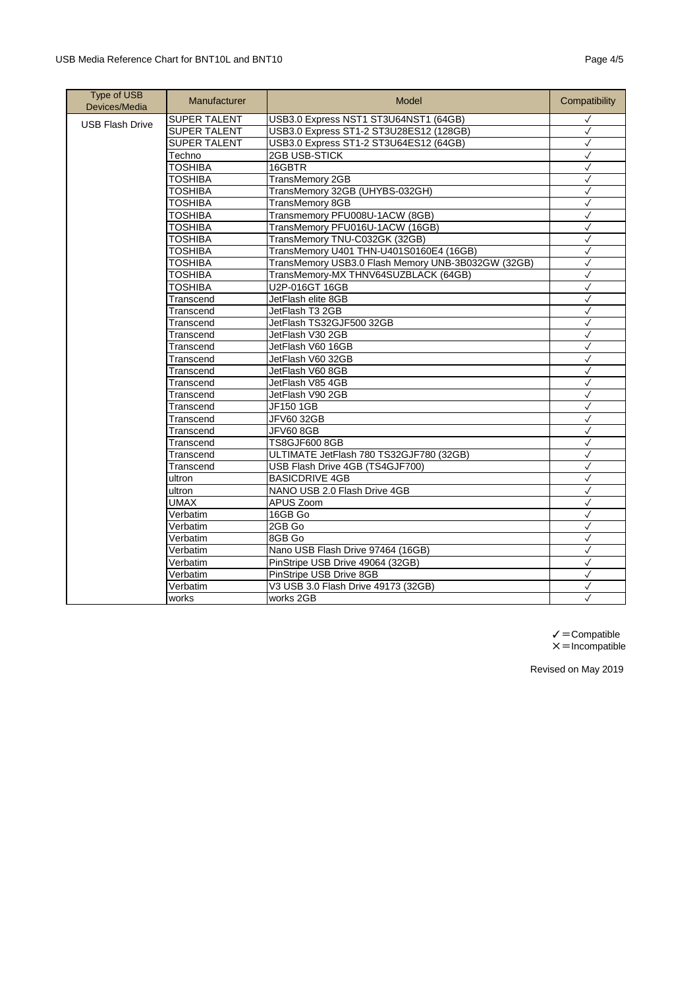## USB Media Reference Chart for BNT10L and BNT10 **Page 4/5** Page 4/5

| <b>Type of USB</b><br>Devices/Media | Manufacturer        | Model                                              | Compatibility |
|-------------------------------------|---------------------|----------------------------------------------------|---------------|
| <b>USB Flash Drive</b>              | SUPER TALENT        | USB3.0 Express NST1 ST3U64NST1 (64GB)              | $\checkmark$  |
|                                     | <b>SUPER TALENT</b> | USB3.0 Express ST1-2 ST3U28ES12 (128GB)            | $\checkmark$  |
|                                     | <b>SUPER TALENT</b> | USB3.0 Express ST1-2 ST3U64ES12 (64GB)             | $\checkmark$  |
|                                     | Techno              | 2GB USB-STICK                                      | $\checkmark$  |
|                                     | <b>TOSHIBA</b>      | 16GBTR                                             | $\checkmark$  |
|                                     | <b>TOSHIBA</b>      | TransMemory 2GB                                    | ✓             |
|                                     | <b>TOSHIBA</b>      | TransMemory 32GB (UHYBS-032GH)                     | $\checkmark$  |
|                                     | <b>TOSHIBA</b>      | TransMemory 8GB                                    | $\checkmark$  |
|                                     | <b>TOSHIBA</b>      | Transmemory PFU008U-1ACW (8GB)                     | $\checkmark$  |
|                                     | <b>TOSHIBA</b>      | TransMemory PFU016U-1ACW (16GB)                    | $\checkmark$  |
|                                     | <b>TOSHIBA</b>      | TransMemory TNU-C032GK (32GB)                      | $\checkmark$  |
|                                     | <b>TOSHIBA</b>      | TransMemory U401 THN-U401S0160E4 (16GB)            | $\checkmark$  |
|                                     | <b>TOSHIBA</b>      | TransMemory USB3.0 Flash Memory UNB-3B032GW (32GB) | $\checkmark$  |
|                                     | <b>TOSHIBA</b>      | TransMemory-MX THNV64SUZBLACK (64GB)               | $\checkmark$  |
|                                     | <b>TOSHIBA</b>      | U2P-016GT 16GB                                     | $\checkmark$  |
|                                     | Transcend           | JetFlash elite 8GB                                 | $\checkmark$  |
|                                     | Transcend           | JetFlash T3 2GB                                    | $\checkmark$  |
|                                     | Transcend           | JetFlash TS32GJF500 32GB                           | $\checkmark$  |
|                                     | Transcend           | JetFlash V30 2GB                                   | $\checkmark$  |
|                                     | Transcend           | JetFlash V60 16GB                                  | $\checkmark$  |
|                                     | Transcend           | JetFlash V60 32GB                                  | $\checkmark$  |
|                                     | Transcend           | JetFlash V60 8GB                                   | $\checkmark$  |
|                                     | Transcend           | JetFlash V85 4GB                                   | $\checkmark$  |
|                                     | Transcend           | JetFlash V90 2GB                                   | $\checkmark$  |
|                                     | Transcend           | JF150 1GB                                          | $\checkmark$  |
|                                     | Transcend           | <b>JFV60 32GB</b>                                  | $\checkmark$  |
|                                     | Transcend           | <b>JFV60 8GB</b>                                   | $\checkmark$  |
|                                     | Transcend           | <b>TS8GJF600 8GB</b>                               | $\checkmark$  |
|                                     | Transcend           | ULTIMATE JetFlash 780 TS32GJF780 (32GB)            | $\checkmark$  |
|                                     | Transcend           | USB Flash Drive 4GB (TS4GJF700)                    | $\checkmark$  |
|                                     | ultron              | <b>BASICDRIVE 4GB</b>                              | $\checkmark$  |
|                                     | ultron              | NANO USB 2.0 Flash Drive 4GB                       | $\checkmark$  |
|                                     | <b>UMAX</b>         | APUS Zoom                                          | $\checkmark$  |
|                                     | Verbatim            | 16GB Go                                            | $\checkmark$  |
|                                     | Verbatim            | 2GB Go                                             | √             |
|                                     | Verbatim            | 8GB Go                                             | $\checkmark$  |
|                                     | Verbatim            | Nano USB Flash Drive 97464 (16GB)                  | $\checkmark$  |
|                                     | Verbatim            | PinStripe USB Drive 49064 (32GB)                   | $\checkmark$  |
|                                     | Verbatim            | PinStripe USB Drive 8GB                            | $\checkmark$  |
|                                     | Verbatim            | V3 USB 3.0 Flash Drive 49173 (32GB)                | $\checkmark$  |
|                                     | works               | works 2GB                                          | ✓             |

 $\checkmark$  = Compatible  $x =$ Incompatible